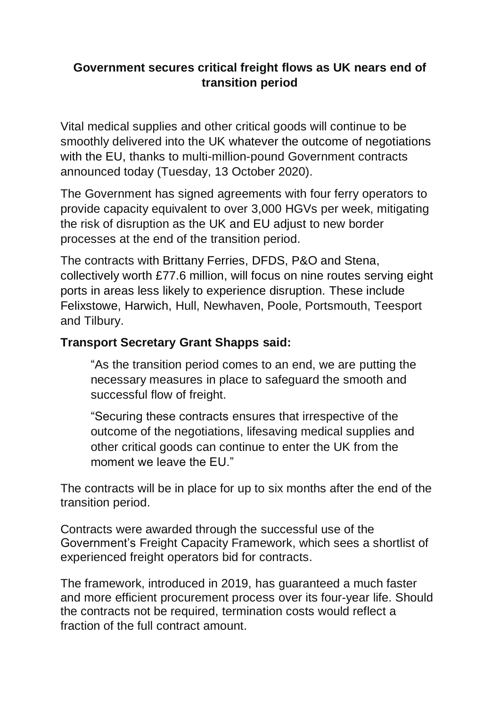## **Government secures critical freight flows as UK nears end of transition period**

Vital medical supplies and other critical goods will continue to be smoothly delivered into the UK whatever the outcome of negotiations with the EU, thanks to multi-million-pound Government contracts announced today (Tuesday, 13 October 2020).

The Government has signed agreements with four ferry operators to provide capacity equivalent to over 3,000 HGVs per week, mitigating the risk of disruption as the UK and EU adjust to new border processes at the end of the transition period.

The contracts with Brittany Ferries, DFDS, P&O and Stena, collectively worth £77.6 million, will focus on nine routes serving eight ports in areas less likely to experience disruption. These include Felixstowe, Harwich, Hull, Newhaven, Poole, Portsmouth, Teesport and Tilbury.

## **Transport Secretary Grant Shapps said:**

"As the transition period comes to an end, we are putting the necessary measures in place to safeguard the smooth and successful flow of freight.

"Securing these contracts ensures that irrespective of the outcome of the negotiations, lifesaving medical supplies and other critical goods can continue to enter the UK from the moment we leave the FU."

The contracts will be in place for up to six months after the end of the transition period.

Contracts were awarded through the successful use of the Government's Freight Capacity Framework, which sees a shortlist of experienced freight operators bid for contracts.

The framework, introduced in 2019, has guaranteed a much faster and more efficient procurement process over its four-year life. Should the contracts not be required, termination costs would reflect a fraction of the full contract amount.